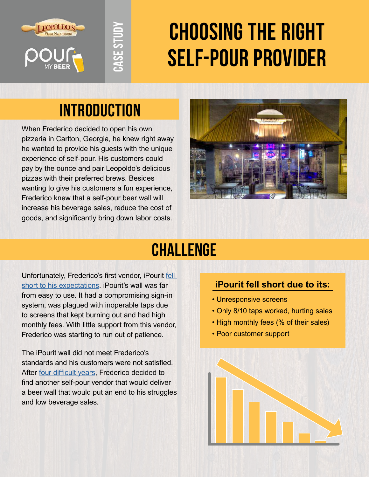





# **Choosing the right self-pour provider**

# **Introduction**

When Frederico decided to open his own pizzeria in Carlton, Georgia, he knew right away he wanted to provide his guests with the unique experience of self-pour. His customers could pay by the ounce and pair Leopoldo's delicious pizzas with their preferred brews. Besides wanting to give his customers a fun experience, Frederico knew that a self-pour beer wall will increase his beverage sales, reduce the cost of **EXPOLUSE THE SIGNAL SEVERAL SEVERAL SEVERAL SEVERAL SEVERAL SEVERAL SURFACTION**<br>When Frederico decided to open his own<br>pizzeria in Carlton, Georgia, he knew right away<br>he wanted to provide his guests with the unique<br>exper



# **Challenge**

Unfortunately, Frederico's first vendor, iPourit [fell](https://www.youtube.com/watch?v=KFfG7LyfQvM&t=6s)  [short to his expectations.](https://www.youtube.com/watch?v=KFfG7LyfQvM&t=6s) iPourit's wall was far from easy to use. It had a compromising sign-in system, was plagued with inoperable taps due to screens that kept burning out and had high monthly fees. With little support from this vendor, Frederico was starting to run out of patience.

The iPourit wall did not meet Frederico's standards and his customers were not satisfied. After [four difficult years](https://pourmybeer.com/retrofits-ipourit/), Frederico decided to find another self-pour vendor that would deliver a beer wall that would put an end to his struggles and low beverage sales.

#### **iPourit fell short due to its:**

- Unresponsive screens
- Only 8/10 taps worked, hurting sales
- High monthly fees (% of their sales)
- Poor customer support